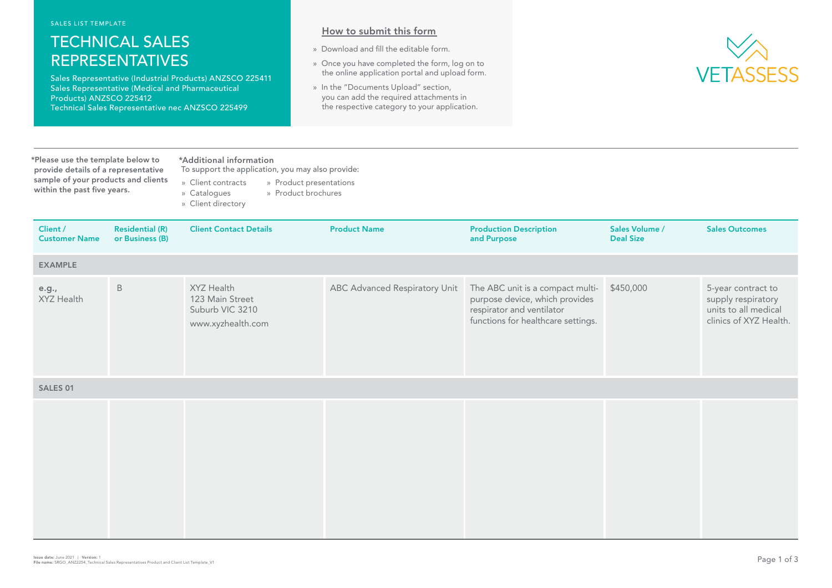SALES LIST TEMPLATE

## TECHNICAL SALES REPRESENTATIVES

Sales Representative (Industrial Products) ANZSCO 225411 Sales Representative (Medical and Pharmaceutical Products) ANZSCO 225412 Technical Sales Representative nec ANZSCO 225499

## How to submit this form

- » Download and fill the editable form.
- » Once you have completed the form, log on to the online application portal and upload form.
- » In the "Documents Upload" section, you can add the required attachments in the respective category to your application.



\*Please use the template below to \*Additional information provide details of a representative sample of your products and clients within the past five years.

To support the application, you may also provide: » Client contracts » Product presentations

- » Catalogues » Product brochures
- » Client directory

| Client /<br><b>Customer Name</b> | <b>Residential (R)</b><br>or Business (B) | <b>Client Contact Details</b>                                         | <b>Product Name</b>           | <b>Production Description</b><br>and Purpose                                                                                          | Sales Volume /<br><b>Deal Size</b> | <b>Sales Outcomes</b>                                                                      |
|----------------------------------|-------------------------------------------|-----------------------------------------------------------------------|-------------------------------|---------------------------------------------------------------------------------------------------------------------------------------|------------------------------------|--------------------------------------------------------------------------------------------|
| <b>EXAMPLE</b>                   |                                           |                                                                       |                               |                                                                                                                                       |                                    |                                                                                            |
| e.g.,<br>XYZ Health              | $\, {\sf B}$                              | XYZ Health<br>123 Main Street<br>Suburb VIC 3210<br>www.xyzhealth.com | ABC Advanced Respiratory Unit | The ABC unit is a compact multi-<br>purpose device, which provides<br>respirator and ventilator<br>functions for healthcare settings. | \$450,000                          | 5-year contract to<br>supply respiratory<br>units to all medical<br>clinics of XYZ Health. |
| <b>SALES 01</b>                  |                                           |                                                                       |                               |                                                                                                                                       |                                    |                                                                                            |
|                                  |                                           |                                                                       |                               |                                                                                                                                       |                                    |                                                                                            |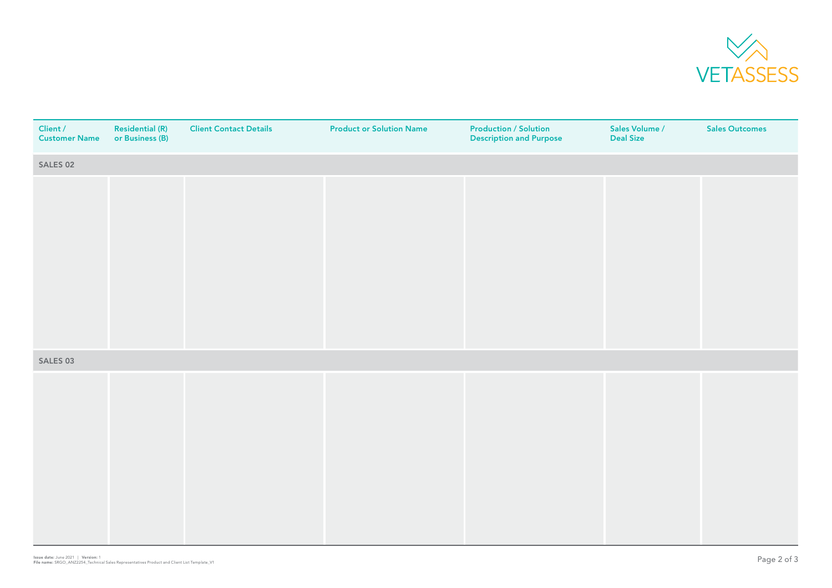

| Client /<br><b>Customer Name</b> | <b>Residential (R)</b><br>or Business (B) | <b>Client Contact Details</b> | <b>Product or Solution Name</b> | <b>Production / Solution</b><br><b>Description and Purpose</b> | Sales Volume /<br><b>Deal Size</b> | <b>Sales Outcomes</b> |
|----------------------------------|-------------------------------------------|-------------------------------|---------------------------------|----------------------------------------------------------------|------------------------------------|-----------------------|
| SALES 02                         |                                           |                               |                                 |                                                                |                                    |                       |
|                                  |                                           |                               |                                 |                                                                |                                    |                       |
|                                  |                                           |                               |                                 |                                                                |                                    |                       |
|                                  |                                           |                               |                                 |                                                                |                                    |                       |
|                                  |                                           |                               |                                 |                                                                |                                    |                       |
|                                  |                                           |                               |                                 |                                                                |                                    |                       |
|                                  |                                           |                               |                                 |                                                                |                                    |                       |
|                                  |                                           |                               |                                 |                                                                |                                    |                       |
|                                  |                                           |                               |                                 |                                                                |                                    |                       |
| SALES 03                         |                                           |                               |                                 |                                                                |                                    |                       |
|                                  |                                           |                               |                                 |                                                                |                                    |                       |
|                                  |                                           |                               |                                 |                                                                |                                    |                       |
|                                  |                                           |                               |                                 |                                                                |                                    |                       |
|                                  |                                           |                               |                                 |                                                                |                                    |                       |
|                                  |                                           |                               |                                 |                                                                |                                    |                       |
|                                  |                                           |                               |                                 |                                                                |                                    |                       |
|                                  |                                           |                               |                                 |                                                                |                                    |                       |
|                                  |                                           |                               |                                 |                                                                |                                    |                       |